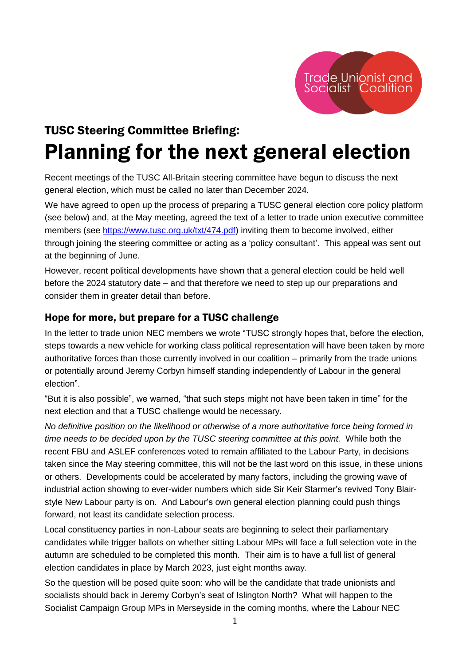

# TUSC Steering Committee Briefing: Planning for the next general election

Recent meetings of the TUSC All-Britain steering committee have begun to discuss the next general election, which must be called no later than December 2024.

We have agreed to open up the process of preparing a TUSC general election core policy platform (see below) and, at the May meeting, agreed the text of a letter to trade union executive committee members (see [https://www.tusc.org.uk/txt/474.pdf\)](https://www.tusc.org.uk/txt/474.pdf) inviting them to become involved, either through joining the steering committee or acting as a 'policy consultant'. This appeal was sent out at the beginning of June.

However, recent political developments have shown that a general election could be held well before the 2024 statutory date – and that therefore we need to step up our preparations and consider them in greater detail than before.

# Hope for more, but prepare for a TUSC challenge

In the letter to trade union NEC members we wrote "TUSC strongly hopes that, before the election, steps towards a new vehicle for working class political representation will have been taken by more authoritative forces than those currently involved in our coalition – primarily from the trade unions or potentially around Jeremy Corbyn himself standing independently of Labour in the general election".

"But it is also possible", we warned, "that such steps might not have been taken in time" for the next election and that a TUSC challenge would be necessary.

*No definitive position on the likelihood or otherwise of a more authoritative force being formed in time needs to be decided upon by the TUSC steering committee at this point.* While both the recent FBU and ASLEF conferences voted to remain affiliated to the Labour Party, in decisions taken since the May steering committee, this will not be the last word on this issue, in these unions or others. Developments could be accelerated by many factors, including the growing wave of industrial action showing to ever-wider numbers which side Sir Keir Starmer's revived Tony Blairstyle New Labour party is on. And Labour's own general election planning could push things forward, not least its candidate selection process.

Local constituency parties in non-Labour seats are beginning to select their parliamentary candidates while trigger ballots on whether sitting Labour MPs will face a full selection vote in the autumn are scheduled to be completed this month. Their aim is to have a full list of general election candidates in place by March 2023, just eight months away.

So the question will be posed quite soon: who will be the candidate that trade unionists and socialists should back in Jeremy Corbyn's seat of Islington North? What will happen to the Socialist Campaign Group MPs in Merseyside in the coming months, where the Labour NEC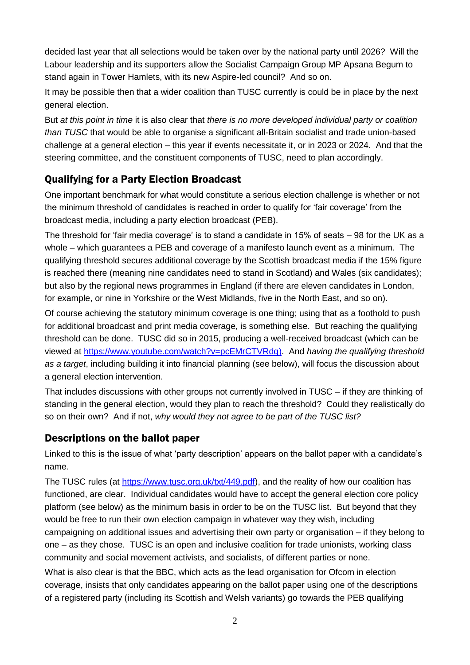decided last year that all selections would be taken over by the national party until 2026? Will the Labour leadership and its supporters allow the Socialist Campaign Group MP Apsana Begum to stand again in Tower Hamlets, with its new Aspire-led council? And so on.

It may be possible then that a wider coalition than TUSC currently is could be in place by the next general election.

But *at this point in time* it is also clear that *there is no more developed individual party or coalition than TUSC* that would be able to organise a significant all-Britain socialist and trade union-based challenge at a general election – this year if events necessitate it, or in 2023 or 2024. And that the steering committee, and the constituent components of TUSC, need to plan accordingly.

# Qualifying for a Party Election Broadcast

One important benchmark for what would constitute a serious election challenge is whether or not the minimum threshold of candidates is reached in order to qualify for 'fair coverage' from the broadcast media, including a party election broadcast (PEB).

The threshold for 'fair media coverage' is to stand a candidate in 15% of seats – 98 for the UK as a whole – which guarantees a PEB and coverage of a manifesto launch event as a minimum. The qualifying threshold secures additional coverage by the Scottish broadcast media if the 15% figure is reached there (meaning nine candidates need to stand in Scotland) and Wales (six candidates); but also by the regional news programmes in England (if there are eleven candidates in London, for example, or nine in Yorkshire or the West Midlands, five in the North East, and so on).

Of course achieving the statutory minimum coverage is one thing; using that as a foothold to push for additional broadcast and print media coverage, is something else. But reaching the qualifying threshold can be done. TUSC did so in 2015, producing a well-received broadcast (which can be viewed at [https://www.youtube.com/watch?v=pcEMrCTVRdg\)](https://www.youtube.com/watch?v=pcEMrCTVRdg). And *having the qualifying threshold as a target*, including building it into financial planning (see below), will focus the discussion about a general election intervention.

That includes discussions with other groups not currently involved in TUSC – if they are thinking of standing in the general election, would they plan to reach the threshold? Could they realistically do so on their own? And if not, *why would they not agree to be part of the TUSC list?*

### Descriptions on the ballot paper

Linked to this is the issue of what 'party description' appears on the ballot paper with a candidate's name.

The TUSC rules (at [https://www.tusc.org.uk/txt/449.pdf\)](https://www.tusc.org.uk/txt/449.pdf), and the reality of how our coalition has functioned, are clear. Individual candidates would have to accept the general election core policy platform (see below) as the minimum basis in order to be on the TUSC list. But beyond that they would be free to run their own election campaign in whatever way they wish, including campaigning on additional issues and advertising their own party or organisation – if they belong to one – as they chose. TUSC is an open and inclusive coalition for trade unionists, working class community and social movement activists, and socialists, of different parties or none.

What is also clear is that the BBC, which acts as the lead organisation for Ofcom in election coverage, insists that only candidates appearing on the ballot paper using one of the descriptions of a registered party (including its Scottish and Welsh variants) go towards the PEB qualifying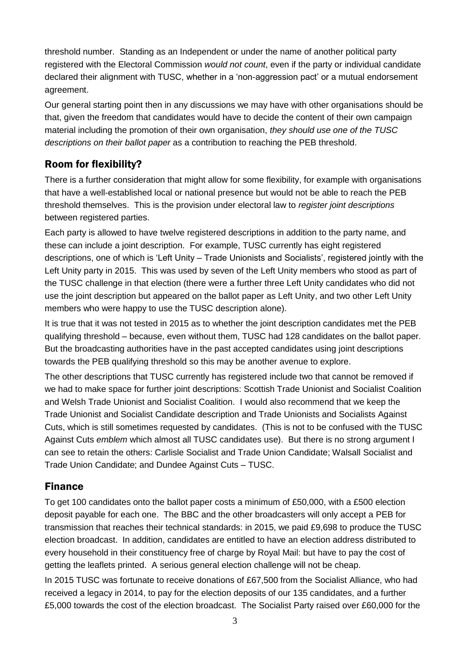threshold number. Standing as an Independent or under the name of another political party registered with the Electoral Commission *would not count*, even if the party or individual candidate declared their alignment with TUSC, whether in a 'non-aggression pact' or a mutual endorsement agreement.

Our general starting point then in any discussions we may have with other organisations should be that, given the freedom that candidates would have to decide the content of their own campaign material including the promotion of their own organisation, *they should use one of the TUSC descriptions on their ballot paper* as a contribution to reaching the PEB threshold.

# Room for flexibility?

There is a further consideration that might allow for some flexibility, for example with organisations that have a well-established local or national presence but would not be able to reach the PEB threshold themselves. This is the provision under electoral law to *register joint descriptions* between registered parties.

Each party is allowed to have twelve registered descriptions in addition to the party name, and these can include a joint description. For example, TUSC currently has eight registered descriptions, one of which is 'Left Unity – Trade Unionists and Socialists', registered jointly with the Left Unity party in 2015. This was used by seven of the Left Unity members who stood as part of the TUSC challenge in that election (there were a further three Left Unity candidates who did not use the joint description but appeared on the ballot paper as Left Unity, and two other Left Unity members who were happy to use the TUSC description alone).

It is true that it was not tested in 2015 as to whether the joint description candidates met the PEB qualifying threshold – because, even without them, TUSC had 128 candidates on the ballot paper. But the broadcasting authorities have in the past accepted candidates using joint descriptions towards the PEB qualifying threshold so this may be another avenue to explore.

The other descriptions that TUSC currently has registered include two that cannot be removed if we had to make space for further joint descriptions: Scottish Trade Unionist and Socialist Coalition and Welsh Trade Unionist and Socialist Coalition. I would also recommend that we keep the Trade Unionist and Socialist Candidate description and Trade Unionists and Socialists Against Cuts, which is still sometimes requested by candidates. (This is not to be confused with the TUSC Against Cuts *emblem* which almost all TUSC candidates use). But there is no strong argument I can see to retain the others: Carlisle Socialist and Trade Union Candidate; Walsall Socialist and Trade Union Candidate; and Dundee Against Cuts – TUSC.

# Finance

To get 100 candidates onto the ballot paper costs a minimum of £50,000, with a £500 election deposit payable for each one. The BBC and the other broadcasters will only accept a PEB for transmission that reaches their technical standards: in 2015, we paid £9,698 to produce the TUSC election broadcast. In addition, candidates are entitled to have an election address distributed to every household in their constituency free of charge by Royal Mail: but have to pay the cost of getting the leaflets printed. A serious general election challenge will not be cheap.

In 2015 TUSC was fortunate to receive donations of £67,500 from the Socialist Alliance, who had received a legacy in 2014, to pay for the election deposits of our 135 candidates, and a further £5,000 towards the cost of the election broadcast. The Socialist Party raised over £60,000 for the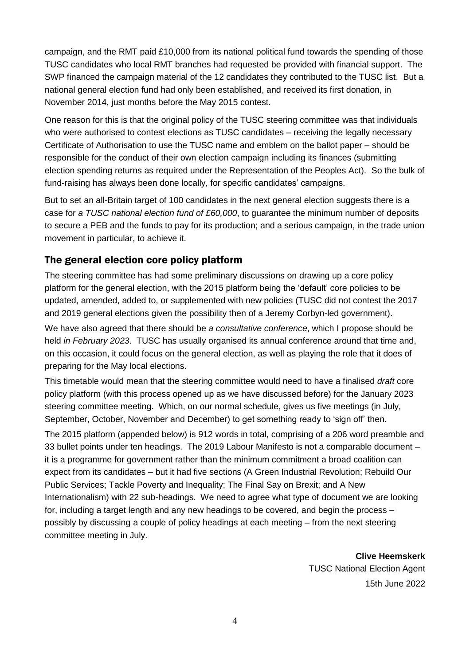campaign, and the RMT paid £10,000 from its national political fund towards the spending of those TUSC candidates who local RMT branches had requested be provided with financial support. The SWP financed the campaign material of the 12 candidates they contributed to the TUSC list. But a national general election fund had only been established, and received its first donation, in November 2014, just months before the May 2015 contest.

One reason for this is that the original policy of the TUSC steering committee was that individuals who were authorised to contest elections as TUSC candidates – receiving the legally necessary Certificate of Authorisation to use the TUSC name and emblem on the ballot paper – should be responsible for the conduct of their own election campaign including its finances (submitting election spending returns as required under the Representation of the Peoples Act). So the bulk of fund-raising has always been done locally, for specific candidates' campaigns.

But to set an all-Britain target of 100 candidates in the next general election suggests there is a case for *a TUSC national election fund of £60,000*, to guarantee the minimum number of deposits to secure a PEB and the funds to pay for its production; and a serious campaign, in the trade union movement in particular, to achieve it.

#### The general election core policy platform

The steering committee has had some preliminary discussions on drawing up a core policy platform for the general election, with the 2015 platform being the 'default' core policies to be updated, amended, added to, or supplemented with new policies (TUSC did not contest the 2017 and 2019 general elections given the possibility then of a Jeremy Corbyn-led government).

We have also agreed that there should be *a consultative conference*, which I propose should be held *in February 2023*. TUSC has usually organised its annual conference around that time and, on this occasion, it could focus on the general election, as well as playing the role that it does of preparing for the May local elections.

This timetable would mean that the steering committee would need to have a finalised *draft* core policy platform (with this process opened up as we have discussed before) for the January 2023 steering committee meeting. Which, on our normal schedule, gives us five meetings (in July, September, October, November and December) to get something ready to 'sign off' then.

The 2015 platform (appended below) is 912 words in total, comprising of a 206 word preamble and 33 bullet points under ten headings. The 2019 Labour Manifesto is not a comparable document – it is a programme for government rather than the minimum commitment a broad coalition can expect from its candidates – but it had five sections (A Green Industrial Revolution; Rebuild Our Public Services; Tackle Poverty and Inequality; The Final Say on Brexit; and A New Internationalism) with 22 sub-headings. We need to agree what type of document we are looking for, including a target length and any new headings to be covered, and begin the process – possibly by discussing a couple of policy headings at each meeting – from the next steering committee meeting in July.

> **Clive Heemskerk** TUSC National Election Agent 15th June 2022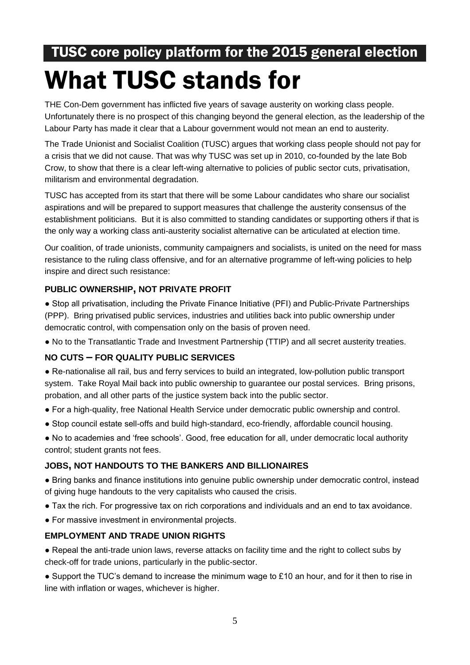# TUSC core policy platform for the 2015 general election What TUSC stands for

THE Con-Dem government has inflicted five years of savage austerity on working class people. Unfortunately there is no prospect of this changing beyond the general election, as the leadership of the Labour Party has made it clear that a Labour government would not mean an end to austerity.

The Trade Unionist and Socialist Coalition (TUSC) argues that working class people should not pay for a crisis that we did not cause. That was why TUSC was set up in 2010, co-founded by the late Bob Crow, to show that there is a clear left-wing alternative to policies of public sector cuts, privatisation, militarism and environmental degradation.

TUSC has accepted from its start that there will be some Labour candidates who share our socialist aspirations and will be prepared to support measures that challenge the austerity consensus of the establishment politicians. But it is also committed to standing candidates or supporting others if that is the only way a working class anti-austerity socialist alternative can be articulated at election time.

Our coalition, of trade unionists, community campaigners and socialists, is united on the need for mass resistance to the ruling class offensive, and for an alternative programme of left-wing policies to help inspire and direct such resistance:

#### **PUBLIC OWNERSHIP, NOT PRIVATE PROFIT**

● Stop all privatisation, including the Private Finance Initiative (PFI) and Public-Private Partnerships (PPP). Bring privatised public services, industries and utilities back into public ownership under democratic control, with compensation only on the basis of proven need.

● No to the Transatlantic Trade and Investment Partnership (TTIP) and all secret austerity treaties.

#### **NO CUTS – FOR QUALITY PUBLIC SERVICES**

- Re-nationalise all rail, bus and ferry services to build an integrated, low-pollution public transport system. Take Royal Mail back into public ownership to guarantee our postal services. Bring prisons, probation, and all other parts of the justice system back into the public sector.
- For a high-quality, free National Health Service under democratic public ownership and control.
- Stop council estate sell-offs and build high-standard, eco-friendly, affordable council housing.
- No to academies and 'free schools'. Good, free education for all, under democratic local authority control; student grants not fees.

#### **JOBS, NOT HANDOUTS TO THE BANKERS AND BILLIONAIRES**

● Bring banks and finance institutions into genuine public ownership under democratic control, instead of giving huge handouts to the very capitalists who caused the crisis.

- Tax the rich. For progressive tax on rich corporations and individuals and an end to tax avoidance.
- For massive investment in environmental projects.

#### **EMPLOYMENT AND TRADE UNION RIGHTS**

● Repeal the anti-trade union laws, reverse attacks on facility time and the right to collect subs by check-off for trade unions, particularly in the public-sector.

 $\bullet$  Support the TUC's demand to increase the minimum wage to £10 an hour, and for it then to rise in line with inflation or wages, whichever is higher.